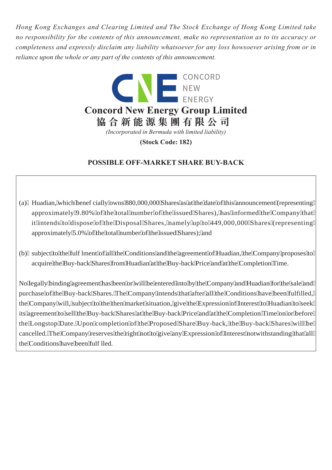*Hong Kong Exchanges and Clearing Limited and The Stock Exchange of Hong Kong Limited take no responsibility for the contents of this announcement, make no representation as to its accuracy or completeness and expressly disclaim any liability whatsoever for any loss howsoever arising from or in reliance upon the whole or any part of the contents of this announcement.*



**(Stock Code: 182)**

# **POSSIBLE OFF-MARKET SHARE BUY-BACK**

- (a) Huadian, which beneficially owns 880,000,000 Shares as at the date of this announcement (representing approximately 9.80% of the total number of the issued Shares), has informed the Company that it intends to dispose of the Disposal Shares, namely up to 449,000,000 Shares (representing approximately 5.0% of the total number of the issued Shares); and
- (b) subject to the fulfilment of all the Conditions and the agreement of Huadian, the Company proposes to acquire the Buy-back Shares from Huadian at the Buy-back Price and at the Completion Time.

No legally binding agreement has been or will be entered into by the Company and Huadian for the sale and purchase of the Buy-back Shares. The Company intends that after all the Conditions have been fulfilled, the Company will, subject to the then market situation, give the Expression of Interest to Huadian to seek its agreement to sell the Buy-back Shares at the Buy-back Price and at the Completion Time on or before the Longstop Date. Upon completion of the Proposed Share Buy-back, the Buy-back Shares will be cancelled. The Company reserves the right not to give any Expression of Interest notwithstanding that all the Conditions have been fulfilled.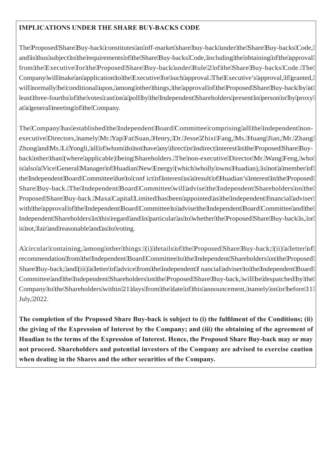## **IMPLICATIONS UNDER THE SHARE BUY-BACKS CODE**

The Proposed Share Buy-back constitutes an off-market share buy-back under the Share Buy-backs Code, and is thus subject to the requirements of the Share Buy-backs Code, including the obtaining of the approval from the Executive for the Proposed Share Buy-back under Rule 2 of the Share Buy-backs Code. The Company will make an application to the Executive for such approval. The Executive's approval, if granted, will normally be conditional upon, among other things, the approval of the Proposed Share Buy-back by at least three-fourths of the votes cast on a poll by the Independent Shareholders present in person or by proxy at a general meeting of the Company.

The Company has established the Independent Board Committee comprising all the independent nonexecutive Directors, namely Mr. Yap Fat Suan, Henry, Dr. Jesse Zhixi Fang, Ms. Huang Jian, Mr. Zhang Zhong and Ms. Li Yongli, all of whom do not have any direct or indirect interest in the Proposed Share Buyback other than (where applicable) being Shareholders. The non-executive Director Mr. Wang Feng, who is also a Vice General Manager of Huadian New Energy (which wholly owns Huadian), is not a member of the Independent Board Committee due to conflict of interest as a result of Huadian's interest in the Proposed Share Buy-back. The Independent Board Committee will advise the Independent Shareholders on the Proposed Share Buy-back. Maxa Capital Limited has been appointed as the independent financial adviser with the approval of the Independent Board Committee to advise the Independent Board Committee and the Independent Shareholders in this regard and in particular as to whether the Proposed Share Buy-back is, or is not, fair and reasonable and as to voting.

A circular containing, among other things: (i) details of the Proposed Share Buy-back; (ii) a letter of recommendation from the Independent Board Committee to the Independent Shareholders on the Proposed Share Buy-back; and (iii) a letter of advice from the independent financial adviser to the Independent Board Committee and the Independent Shareholders on the Proposed Share Buy-back, will be despatched by the Company to the Shareholders within 21 days from the date of this announcement, namely on or before 11 July, 2022.

**The completion of the Proposed Share Buy-back is subject to (i) the fulfilment of the Conditions; (ii) the giving of the Expression of Interest by the Company; and (iii) the obtaining of the agreement of Huadian to the terms of the Expression of Interest. Hence, the Proposed Share Buy-back may or may not proceed. Shareholders and potential investors of the Company are advised to exercise caution when dealing in the Shares and the other securities of the Company.**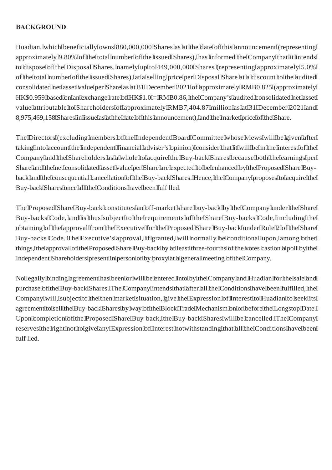## **BACKGROUND**

Huadian, which beneficially owns 880,000,000 Shares as at the date of this announcement (representing approximately 9.80% of the total number of the issued Shares), has informed the Company that it intends to dispose of the Disposal Shares, namely up to 449,000,000 Shares (representing approximately 5.0% of the total number of the issued Shares), at a selling price per Disposal Share at a discount to the audited consolidated net asset value per Share as at 31 December 2021 of approximately RMB0.825 (approximately HK\$0.959 based on an exchange rate of HK\$1.0 = RMB0.86, the Company's audited consolidated net asset value attributable to Shareholders of approximately RMB7,404.87 million as at 31 December 2021 and 8,975,469,158 Shares in issue as at the date of this announcement), and the market price of the Share.

The Directors (excluding members of the Independent Board Committee whose views will be given after taking into account the independent financial adviser's opinion) consider that it will be in the interest of the Company and the Shareholders as a whole to acquire the Buy-back Shares because both the earnings per Share and the net consolidated asset value per Share are expected to be enhanced by the Proposed Share Buyback and the consequential cancellation of the Buy-back Shares. Hence, the Company proposes to acquire the Buy-back Shares once all the Conditions have been fulflled.

The Proposed Share Buy-back constitutes an off-market share buy-back by the Company under the Share Buy-backs Code, and is thus subject to the requirements of the Share Buy-backs Code, including the obtaining of the approval from the Executive for the Proposed Share Buy-back under Rule 2 of the Share Buy-backs Code. The Executive's approval, if granted, will normally be conditional upon, among other things, the approval of the Proposed Share Buy-back by at least three-fourths of the votes cast on a poll by the Independent Shareholders present in person or by proxy at a general meeting of the Company.

No legally binding agreement has been or will be entered into by the Company and Huadian for the sale and purchase of the Buy-back Shares. The Company intends that after all the Conditions have been fulfilled, the Company will, subject to the then market situation, give the Expression of Interest to Huadian to seek its agreement to sell the Buy-back Shares by way of the Block Trade Mechanism on or before the Longstop Date. Upon completion of the Proposed Share Buy-back, the Buy-back Shares will be cancelled. The Company reserves the right not to give any Expression of Interest notwithstanding that all the Conditions have been fulflled.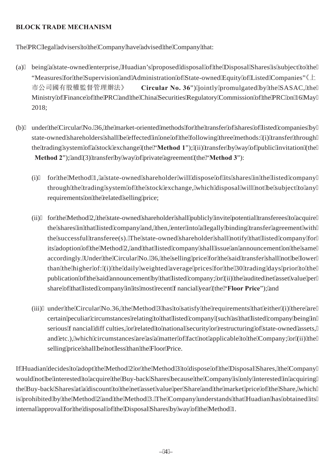## **BLOCK TRADE MECHANISM**

The PRC legal advisers to the Company have advised the Company that:

- (a) being a state-owned enterprise, Huadian's proposed disposal of the Disposal Shares is subject to the "Measures for the Supervision and Administration of State-owned Equity of Listed Companies" $\&\perp$ 市公司國有股權監督管理辦法》 **Circular No. 36**") jointly promulgated by the SASAC, the Ministry of Finance of the PRC and the China Securities Regulatory Commission of the PRC on 16 May 2018;
- (b) under the Circular No. 36, the market-oriented methods for the transfer of shares of listed companies by state-owned shareholders shall be effected in one of the following three methods: (i) transfer through the trading system of a stock exchange (the "**Method 1**"); (ii) transfer by way of public invitation (the **Method 2**"); and (3) transfer by way of private agreement (the "**Method 3**"):
	- (i) for the Method 1, a state-owned shareholder will dispose of its shares in the listed company through the trading system of the stock exchange, which disposal will not be subject to any requirements on the related selling price;
	- (ii) for the Method 2, the state-owned shareholder shall publicly invite potential transferees to acquire the shares in that listed company and, then, enter into a legally binding transfer agreement with the successful transferee(s). The state-owned shareholder shall notify that listed company for its adoption of the Method 2, and that listed company shall issue an announcement on the same accordingly. Under the Circular No. 36, the selling price for the said transfer shall not be lower than the higher of: (i) the daily weighted average prices for the 30 trading days prior to the publication of the said announcement by that listed company; or (ii) the audited net asset value per share of that listed company in its most recent financial year (the "**Floor Price**"); and
	- (iii) under the Circular No.36, the Method 3 has to satisfy the requirements that either (i) there are certain peculiar circumstances relating to that listed company (such as that listed company being in serious financial difficulties, or related to national security or restructuring of state-owned assets, and etc.), which circumstances are as a matter of fact not applicable to the Company; or (ii) the selling price shall be not less than the Floor Price.

If Huadian decides to adopt the Method 2 or the Method 3 to dispose of the Disposal Shares, the Company would not be interested to acquire the Buy-back Shares because the Company is only interested in acquiring the Buy-back Shares at a discount to the net asset value per Share and the market price of the Share, which is prohibited by the Method 2 and the Method 3. The Company understands that Huadian has obtained its internal approval for the disposal of the Disposal Shares by way of the Method 1.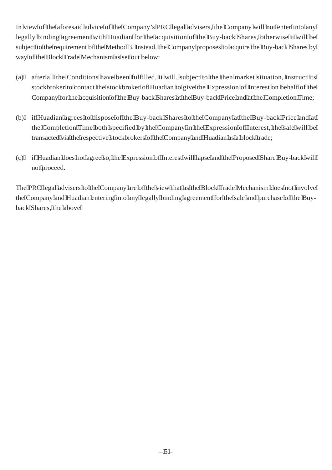In view of the aforesaid advice of the Company's PRC legal advisers, the Company will not enter into any legally binding agreement with Huadian for the acquisition of the Buy-back Shares, otherwise it will be subject to the requirement of the Method 3. Instead, the Company proposes to acquire the Buy-back Shares by way of the Block Trade Mechanism as set out below:

- (a) after all the Conditions have been fulfilled, it will, subject to the then market situation, instruct its stockbroker to contact the stockbroker of Huadian to give the Expression of Interest on behalf of the Company for the acquisition of the Buy-back Shares at the Buy-back Price and at the Completion Time;
- (b) if Huadian agrees to dispose of the Buy-back Shares to the Company at the Buy-back Price and at the Completion Time both specified by the Company in the Expression of Interest, the sale will be transacted via the respective stockbrokers of the Company and Huadian as a block trade;
- (c) if Huadian does not agree so, the Expression of Interest will lapse and the Proposed Share Buy-back will not proceed.

The PRC legal advisers to the Company are of the view that as the Block Trade Mechanism does not involve the Company and Huadian entering into any legally binding agreement for the sale and purchase of the Buyback Shares, the above mechanis\* invo b elly l view ente = above% purchal above = a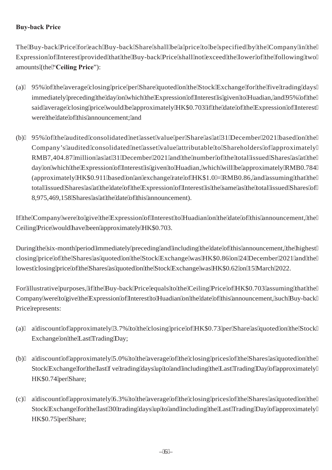## **Buy-back Price**

The Buy-back Price for each Buy-back Share shall be a price to be specified by the Company in the Expression of Interest provided that the Buy-back Price shall not exceed the lower of the following two amounts (the "**Ceiling Price**"):

- (a) 95% of the average closing price per Share quoted on the Stock Exchange for the five trading days immediately preceding the day on which the Expression of Interest is given to Huadian, and 95% of the said average closing price would be approximately HK\$0.703 if the date of the Expression of Interest were the date of this announcement; and
- (b) 95% of the audited consolidated net asset value per Share as at 31 December 2021 based on the Company's audited consolidated net asset value attributable to Shareholders of approximately RMB7,404.87 million as at 31 December 2021 and the number of the total issued Shares as at the day on which the Expression of Interest is given to Huadian, which will be approximately RMB0.784 (approximately HK\$0.911 based on an exchange rate of  $HK$1.0 = RMB0.86$ , and assuming that the total issued Shares as at the date of the Expression of Interest is the same as the total issued Shares of 8,975,469,158 Shares as at the date of this announcement).

If the Company were to give the Expression of Interest to Huadian on the date of this announcement, the Ceiling Price would have been approximately HK\$0.703.

During the six-month period immediately preceding and including the date of this announcement, the highest closing price of the Shares as quoted on the Stock Exchange was HK\$0.86 on 24 December 2021 and the lowest closing price of the Shares as quoted on the Stock Exchange was HK\$0.62 on 15 March 2022.

For illustrative purposes, if the Buy-back Price equals to the Ceiling Price of HK\$0.703 assuming that the Company were to give the Expression of Interest to Huadian on the date of this announcement, such Buy-back Price represents:

- (a) a discount of approximately 3.7% to the closing price of HK\$0.73 per Share as quoted on the Stock Exchange on the Last Trading Day;
- (b) a discount of approximately 5.0% to the average of the closing prices of the Shares as quoted on the Stock Exchange for the last five trading days up to and including the Last Trading Day of approximately HK\$0.74 per Share;
- (c) a discount of approximately 6.3% to the average of the closing prices of the Shares as quoted on the Stock Exchange for the last 30 trading days up to and including the Last Trading Day of approximately HK\$0.75 per Share;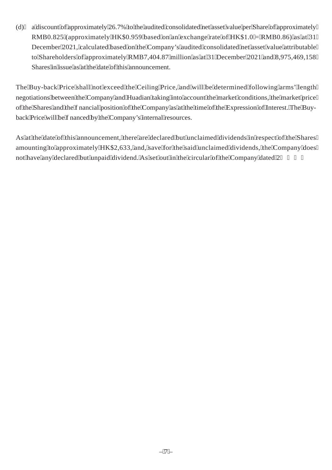(d) a discount of approximately 26.7% to the audited consolidated net asset value per Share of approximately RMB0.825 (approximately HK\$0.959 based on an exchange rate of HK\$1.0 = RMB0.86) as at 31 December 2021, calculated based on the Company's audited consolidated net asset value attributable to Shareholders of approximately RMB7,404.87 million as at 31 December 2021 and 8,975,469,158 Shares in issue as at the date of this announcement.

The Buy-back Price shall not exceed the Ceiling Price, and will be determined following arms' length negotiations between the Company and Huadian taking into account the market conditions, the market price of the Shares and the financial position of the Company as at the time of the Expression of Interest. The Buyback Price will be financed by the Company's internal resources.

As at the date of this announcement, there are declared but unclaimed dividends in respect of the Shares amounting to approximately HK\$2,633, and, save for the said unclaimed dividends, the Company does not haw is antybdeclare and bout unpaint dividend. As set out in the circular of the Company not antes by respested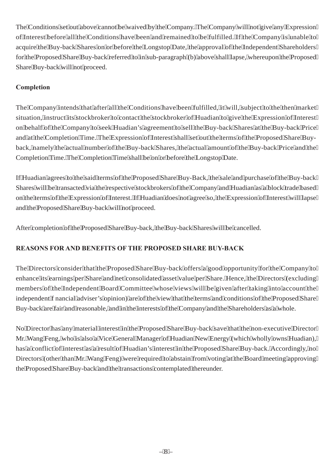The Conditions set out above cannot be waived by the Company. The Company will not give any Expression of Interest before all the Conditions have been and remained to be fulfilled. If the Company is unable to acquire the Buy-back Shares on or before the Longstop Date, the approval of the Independent Shareholders for the Proposed Share Buy-back referred to in sub-paragraph (b) above shall lapse, whereupon the Proposed Share Buy-back will not proceed.

# **Completion**

The Company intends that after all the Conditions have been fulfilled, it will, subject to the then market situation, instruct its stockbroker to contact the stockbroker of Huadian to give the Expression of Interest on behalf of the Company to seek Huadian's agreement to sell the Buy-back Shares at the Buy-back Price and at the Completion Time. The Expression of Interest shall set out the terms of the Proposed Share Buyback, namely the actual number of the Buy-back Shares, the actual amount of the Buy-back Price and the Completion Time. The Completion Time shall be on or before the Longstop Date.

If Huadian agrees to the said terms of the Proposed Share Buy-Back, the sale and purchase of the Buy-back Shares will be transacted via the respective stockbrokers of the Company and Huadian as a block trade based on the terms of the Expression of Interest. If Huadian does not agree so, the Expression of Interest will lapse and the Proposed Share Buy-back will not proceed.

After completion of the Proposed Share Buy-back, the Buy-back Shares will be cancelled.

# **REASONS FOR AND BENEFITS OF THE PROPOSED SHARE BUY-BACK**

The Directors consider that the Proposed Share Buy-back offers a good opportunity for the Company to enhance its earnings per Share and net consolidated asset value per Share. Hence, the Directors (excluding members of the Independent Board Committee whose views will be given after taking into account the independent financial adviser's opinion) are of the view that the terms and conditions of the Proposed Share Buy-back are fair and reasonable, and in the interests of the Company and the Shareholders as a whole.

No Director has any material interest in the Proposed Share Buy-back save that the non-executive Director Mr. Wang Feng, who is also a Vice General Manager of Huadian New Energy (which wholly owns Huadian), has a conflict of interest as a result of Huadian's interest in the Proposed Share Buy-back. Accordingly, no Directors (other than Mr. Wang Feng) were required to abstain from voting at the Board meeting approving the Proposed Share Buy-back and the transactions contemplated thereunder.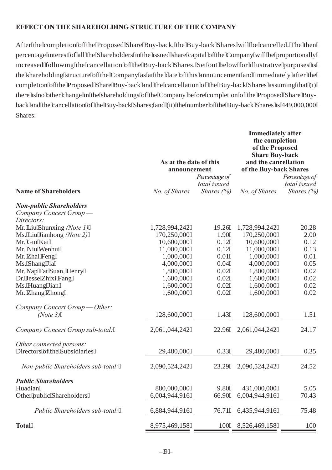### **EFFECT ON THE SHAREHOLDING STRUCTURE OF THE COMPANY**

After the completion of the Proposed Share Buy-back, the Buy-back Shares will be cancelled. The then percentage interest of all the Shareholders in the issued share capital of the Company will be proportionally increased following the cancellation of the Buy-back Shares. Set out below for illustrative purposes is the shareholding structure of the Company as at the date of this announcement and immediately after the completion of the Proposed Share Buy-back and the cancellation of the Buy-back Shares assuming that (i) there is no other change in the shareholdings of the Company before completion of the Proposed Share Buyback and the cancellation of the Buy-back Shares; and (ii) the number of the Buy-back Shares is 449,000,000 Shares:

|                                                                         | As at the date of this<br>announcement |                               | <b>Immediately after</b><br>the completion<br>of the Proposed<br><b>Share Buy-back</b><br>and the cancellation<br>of the Buy-back Shares |                               |
|-------------------------------------------------------------------------|----------------------------------------|-------------------------------|------------------------------------------------------------------------------------------------------------------------------------------|-------------------------------|
|                                                                         |                                        | Percentage of<br>total issued |                                                                                                                                          | Percentage of<br>total issued |
| <b>Name of Shareholders</b>                                             | No. of Shares                          | <i>Shares</i> $(\%)$          | No. of Shares                                                                                                                            | <i>Shares</i> $(\%)$          |
| <b>Non-public Shareholders</b><br>Company Concert Group -<br>Directors: |                                        |                               |                                                                                                                                          |                               |
| Mr. Liu Shunxing (Note 1)                                               | 1,728,994,242                          | 19.26                         | 1,728,994,242                                                                                                                            | 20.28                         |
| Ms. Liu Jianhong (Note 2)                                               | 170,250,000                            | 1.90                          | 170,250,000                                                                                                                              | 2.00                          |
| Mr. Gui Kai                                                             | 10,600,000                             | 0.12                          | 10,600,000                                                                                                                               | 0.12                          |
| Mr. Niu Wenhui                                                          | 11,000,000                             | 0.12                          | 11,000,000                                                                                                                               | 0.13                          |
| Mr. Zhai Feng                                                           | 1,000,000                              | 0.01                          | 1,000,000                                                                                                                                | 0.01                          |
| Ms. Shang Jia                                                           | 4,000,000                              | 0.04                          | 4,000,000                                                                                                                                | 0.05                          |
| Mr. Yap Fat Suan, Henry                                                 | 1,800,000                              | 0.02                          | 1,800,000                                                                                                                                | 0.02                          |
| Dr. Jesse Zhixi Fang                                                    | 1,600,000                              | 0.02                          | 1,600,000                                                                                                                                | 0.02                          |
| Ms. Huang Jian                                                          | 1,600,000                              | 0.02                          | 1,600,000                                                                                                                                | 0.02                          |
| Mr. Zhang Zhong                                                         | 1,600,000                              | 0.02                          | 1,600,000                                                                                                                                | 0.02                          |
| Company Concert Group — Other:<br>(Note 3)                              | 128,600,000                            | 1.43                          | 128,600,000                                                                                                                              | 1.51                          |
| Company Concert Group sub-total:                                        | 2,061,044,242                          | 22.96                         | 2,061,044,242                                                                                                                            | 24.17                         |
| Other connected persons:<br>Directors of the Subsidiaries               | 29,480,000                             | 0.33                          | 29,480,000                                                                                                                               | 0.35                          |
| Non-public Shareholders sub-total:                                      | 2,090,524,242                          | 23.29                         | 2,090,524,242                                                                                                                            | 24.52                         |
| <b>Public Shareholders</b>                                              |                                        |                               |                                                                                                                                          |                               |
| Huadian                                                                 | 880,000,000                            | 9.80                          | 431,000,000                                                                                                                              | 5.05                          |
| Other public Shareholders                                               | 6,004,944,916                          | 66.90                         | 6,004,944,916                                                                                                                            | 70.43                         |
| Public Shareholders sub-total:                                          | 6,884,944,916                          | 76.71                         | 6,435,944,916                                                                                                                            | 75.48                         |
| <b>Total</b>                                                            | 8,975,469,158                          | 100                           | 8,526,469,158                                                                                                                            | 100                           |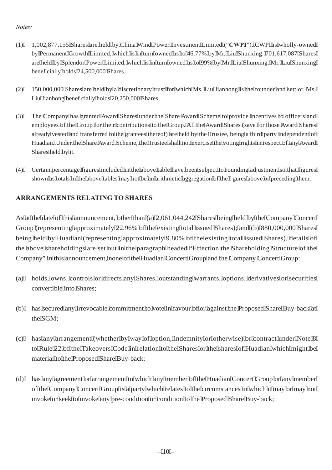### *Notes:*

- (1) 1,002,877,155 Shares are held by China Wind Power Investment Limited ("**CWPI**"). CWPI is wholly-owned by Permanent Growth Limited, which is in turn owned as to 46.77% by Mr. Liu Shunxing. 701,617,087 Shares are held by Splendor Power Limited, which is in turn owned as to 99% by Mr. Liu Shunxing. Mr. Liu Shunxing beneficially holds 24,500,000 Shares.
- (2) 150,000,000 Shares are held by a discretionary trust for which Ms. Liu Jianhong is the founder and settlor. Ms. Liu Jianhong beneficially holds 20,250,000 Shares.
- (3) The Company has granted Award Shares under the Share Award Scheme to provide incentives to officers and employees of the Group for their contributions to the Group. All the Award Shares (save for those Award Shares already vested and transferred to the grantees thereof) are held by the Trustee, being a third party independent of Huadian. Under the Share Award Scheme, the Trustee shall not exercise the voting rights in respect of any Award Shares held by it.
- (4) Certain percentage figures included in the above table have been subject to rounding adjustment so that figures shown as totals in the above tables may not be an arithmetic aggregation of the figures above or preceding them.

## **ARRANGEMENTS RELATING TO SHARES**

As at the date of this announcement, other than (a) 2,061,044,242 Shares being held by the Company Concert Group (representing approximately 22.96% of the existing total issued Shares); and (b) 880,000,000 Shares being held by Huadian (representing approximately 9.80% of the existing total issued Shares), details of the above shareholdings are set out in the paragraph headed "Effect on the Shareholding Structure of the Company" in this announcement, none of the Huadian Concert Group and the Company Concert Group:

- (a) holds, owns, controls or directs any Shares, outstanding warrants, options, derivatives or securities convertible into Shares;
- (b) has secured any irrevocable commitment to vote in favour of or against the Proposed Share Buy-back at the SGM;
- (c) has any arrangement (whether by way of option, indemnity or otherwise) or contract under Note 8 to Rule 22 of the Takeovers Code in relation to the Shares or the shares of Huadian which might be material to the Proposed Share Buy-back;
- (d) has any agreement or arrangement to which any member of the Huadian Concert Group or any member of the Company Concert Group is a party which relates to the circumstances in which it may or may not invoke or seek to invoke any pre-condition or condition to the Proposed Share Buy-back;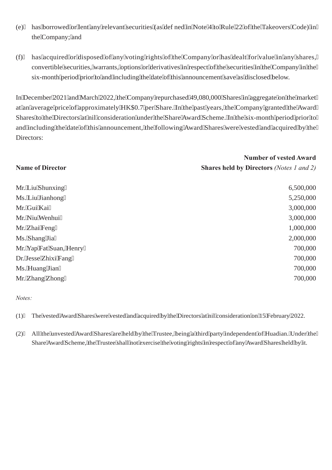- (e) has borrowed or lent any relevant securities (as defined in Note 4 to Rule 22 of the Takeovers Code) in the Company; and
- (f) has acquired or disposed of any voting rights of the Company or has dealt for value in any shares, convertible securities, warrants, options or derivatives in respect of the securities in the Company in the six-month period prior to and including the date of this announcement save as disclosed below.

In December 2021 and March 2022, the Company repurchased 49,080,000 Shares in aggregate on the market at an average price of approximately HK\$0.7 per Share. In the past years, the Company granted the Award Shares to the Directors at nil consideration under the Share Award Scheme. In the six-month period prior to and including the date of this announcement, the following Award Shares were vested and acquired by the Directors:

|                         | <b>Number of vested Award</b>                   |  |
|-------------------------|-------------------------------------------------|--|
| <b>Name of Director</b> | <b>Shares held by Directors</b> (Notes 1 and 2) |  |
| Mr. Liu Shunxing        | 6,500,000                                       |  |
| Ms. Liu Jianhong        | 5,250,000                                       |  |
| Mr. Gui Kai             | 3,000,000                                       |  |
| Mr. Niu Wenhui          | 3,000,000                                       |  |
| Mr. Zhai Feng           | 1,000,000                                       |  |
| Ms. Shang Jia           | 2,000,000                                       |  |
| Mr. Yap Fat Suan, Henry | 700,000                                         |  |
| Dr. Jesse Zhixi Fang    | 700,000                                         |  |
| Ms. Huang Jian          | 700,000                                         |  |
| Mr. Zhang Zhong         | 700,000                                         |  |

#### *Notes:*

(1) The vested Award Shares were vested and acquired by the Directors at nil consideration on 15 February 2022.

(2) All the unvested Award Shares are held by the Trustee, being a third party independent of Huadian. Under the Share Award Scheme, the Trustee shall not exercise the voting rights in respect of any Award Shares held by it.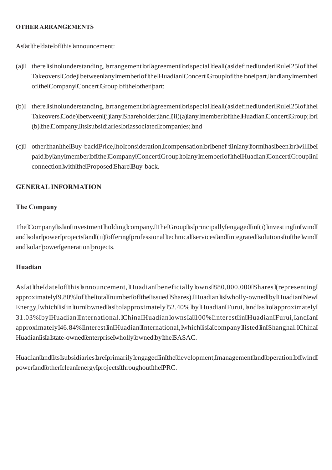#### **OTHER ARRANGEMENTS**

As at the date of this announcement:

- (a) there is no understanding, arrangement or agreement or special deal (as defined under Rule 25 of the Takeovers Code) between any member of the Huadian Concert Group of the one part, and any member of the Company Concert Group of the other part;
- (b) there is no understanding, arrangement or agreement or special deal (as defined under Rule 25 of the Takeovers Code) between (i) any Shareholder; and (ii)(a) any member of the Huadian Concert Group; or (b) the Company, its subsidiaries or associated companies; and
- (c) other than the Buy-back Price, no consideration, compensation or benefit in any form has been or will be paid by any member of the Company Concert Group to any member of the Huadian Concert Group in connection with the Proposed Share Buy-back.

### **GENERAL INFORMATION**

### **The Company**

The Company is an investment holding company. The Group is principally engaged in (i) investing in wind and solar power projects and (ii) offering professional technical services and integrated solutions to the wind and solar power generation projects.

### **Huadian**

As at the date of this announcement, Huadian beneficially owns 880,000,000 Shares (representing approximately 9.80% of the total number of the issued Shares). Huadian is wholly-owned by Huadian New Energy, which is in turn owned as to approximately 52.40% by Huadian Furui, and as to approximately 31.03% by Huadian International. China Huadian owns a 100% interest in Huadian Furui, and an approximately 46.84% interest in Huadian International, which is a company listed in Shanghai. China Huadian is a state-owned enterprise wholly owned by the SASAC.

Huadian and its subsidiaries are primarily engaged in the development, management and operation of wind power and other clean energy projects throughout the PRC.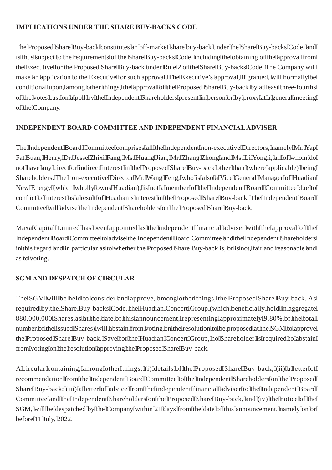## **IMPLICATIONS UNDER THE SHARE BUY-BACKS CODE**

The Proposed Share Buy-back constitutes an off-market share buy-back under the Share Buy-backs Code, and is thus subject to the requirements of the Share Buy-backs Code, including the obtaining of the approval from the Executive for the Proposed Share Buy-back under Rule 2 of the Share Buy-backs Code. The Company will make an application to the Executive for such approval. The Executive's approval, if granted, will normally be conditional upon, among other things, the approval of the Proposed Share Buy-back by at least three-fourths of the votes cast on a poll by the Independent Shareholders present in person or by proxy at a general meeting of the Company.

# **INDEPENDENT BOARD COMMITTEE AND INDEPENDENT FINANCIAL ADVISER**

The Independent Board Committee comprises all the independent non-executive Directors, namely Mr. Yap Fat Suan, Henry, Dr. Jesse Zhixi Fang, Ms. Huang Jian, Mr. Zhang Zhong and Ms. Li Yongli, all of whom do not have any direct or indirect interest in the Proposed Share Buy-back other than (where applicable) being Shareholders. The non-executive Director Mr. Wang Feng, who is also a Vice General Manager of Huadian New Energy (which wholly owns Huadian), is not a member of the Independent Board Committee due to conflict of interest as a result of Huadian's interest in the Proposed Share Buy-back. The Independent Board Committee will advise the Independent Shareholders on the Proposed Share Buy-back.

Maxa Capital Limited has been appointed as the independent financial adviser with the approval of the Independent Board Committee to advise the Independent Board Committee and the Independent Shareholders in this regard and in particular as to whether the Proposed Share Buy-back is, or is not, fair and reasonable and as to voting.

## **SGM AND DESPATCH OF CIRCULAR**

The SGM will be held to consider and approve, among other things, the Proposed Share Buy-back. As required by the Share Buy-backs Code, the Huadian Concert Group (which beneficially hold in aggregate 880,000,000 Shares as at the date of this announcement, representing approximately 9.80% of the total number of the issued Shares) will abstain from voting on the resolution to be proposed at the SGM to approve the Proposed Share Buy-back. Save for the Huadian Concert Group, no Shareholder is required to abstain from voting on the resolution approving the Proposed Share Buy-back.

A circular containing, among other things: (i) details of the Proposed Share Buy-back; (ii) a letter of recommendation from the Independent Board Committee to the Independent Shareholders on the Proposed Share Buy-back; (iii) a letter of advice from the independent financial adviser to the Independent Board Committee and the Independent Shareholders on the Proposed Share Buy-back, and (iv) the notice of the SGM, will be despatched by the Company within 21 days from the date of this announcement, namely on or before 11 July, 2022.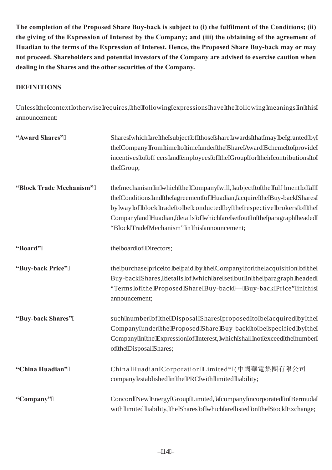**The completion of the Proposed Share Buy-back is subject to (i) the fulfilment of the Conditions; (ii) the giving of the Expression of Interest by the Company; and (iii) the obtaining of the agreement of Huadian to the terms of the Expression of Interest. Hence, the Proposed Share Buy-back may or may not proceed. Shareholders and potential investors of the Company are advised to exercise caution when dealing in the Shares and the other securities of the Company.**

## **DEFINITIONS**

Unless the context otherwise requires, the following expressions have the following meanings in this announcement:

| "Award Shares"          | Shares which are the subject of those share awards that may be granted by<br>the Company from time to time under the Share Award Scheme to provide<br>incentives to offcers and employees of the Group for their contributions to<br>the Group;                                                                                                              |
|-------------------------|--------------------------------------------------------------------------------------------------------------------------------------------------------------------------------------------------------------------------------------------------------------------------------------------------------------------------------------------------------------|
| "Block Trade Mechanism" | the mechanism in which the Company will, subject to the fulflment of all<br>the Conditions and the agreement of Huadian, acquire the Buy-back Shares<br>by way of block trade to be conducted by the respective brokers of the<br>Company and Huadian, details of which are set out in the paragraph headed<br>"Block Trade Mechanism" in this announcement; |
| "Board"                 | the board of Directors;                                                                                                                                                                                                                                                                                                                                      |
| "Buy-back Price"        | the purchase price to be paid by the Company for the acquisition of the<br>Buy-back Shares, details of which are set out in the paragraph headed<br>"Terms of the Proposed Share Buy-back — Buy-back Price" in this<br>announcement;                                                                                                                         |
| "Buy-back Shares"       | such number of the Disposal Shares proposed to be acquired by the<br>Company under the Proposed Share Buy-back to be specified by the<br>Company in the Expression of Interest, which shall not exceed the number<br>of the Disposal Shares;                                                                                                                 |
| "China Huadian"         | China Huadian Corporation Limited* (中國華電集團有限公司<br>company established in the PRC with limited liability;                                                                                                                                                                                                                                                     |
| "Company"               | Concord New Energy Group Limited, a company incorporated in Bermuda<br>with limited liability, the Shares of which are listed on the Stock Exchange;                                                                                                                                                                                                         |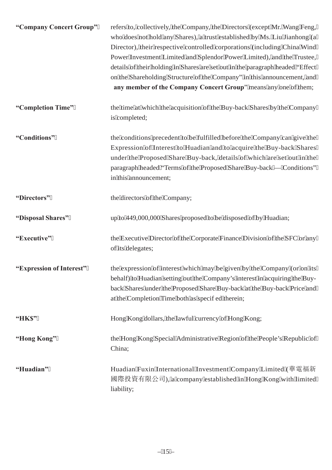| "Company Concert Group"  | refers to, collectively, the Company, the Directors (except Mr. Wang Feng,<br>who does not hold any Shares), a trust established by Ms. Liu Jianhong (a<br>Director), their respective controlled corporations (including China Wind<br>Power Investment Limited and Splendor Power Limited), and the Trustee,<br>details of their holding in Shares are set out in the paragraph headed "Effect<br>on the Shareholding Structure of the Company" in this announcement, and<br>any member of the Company Concert Group" means any one of them; |
|--------------------------|------------------------------------------------------------------------------------------------------------------------------------------------------------------------------------------------------------------------------------------------------------------------------------------------------------------------------------------------------------------------------------------------------------------------------------------------------------------------------------------------------------------------------------------------|
| "Completion Time"        | the time at which the acquisition of the Buy-back Shares by the Company<br>is completed;                                                                                                                                                                                                                                                                                                                                                                                                                                                       |
| "Conditions"             | the conditions precedent to be fulfilled before the Company can give the<br>Expression of Interest to Huadian and to acquire the Buy-back Shares<br>under the Proposed Share Buy-back, details of which are set out in the<br>paragraph headed "Terms of the Proposed Share Buy-back — Conditions"<br>in this announcement;                                                                                                                                                                                                                    |
| "Directors"              | the directors of the Company;                                                                                                                                                                                                                                                                                                                                                                                                                                                                                                                  |
| "Disposal Shares"        | up to 449,000,000 Shares proposed to be disposed of by Huadian;                                                                                                                                                                                                                                                                                                                                                                                                                                                                                |
| "Executive"              | the Executive Director of the Corporate Finance Division of the SFC or any<br>of its delegates;                                                                                                                                                                                                                                                                                                                                                                                                                                                |
| "Expression of Interest" | the expression of interest which may be given by the Company (or on its<br>behalf) to Huadian setting out the Company's interest in acquiring the Buy-<br>back Shares under the Proposed Share Buy-back at the Buy-back Price and<br>at the Completion Time both as specifed therein;                                                                                                                                                                                                                                                          |
| "HK\$"                   | Hong Kong dollars, the lawful currency of Hong Kong;                                                                                                                                                                                                                                                                                                                                                                                                                                                                                           |
| "Hong Kong"              | the Hong Kong Special Administrative Region of the People's Republic of<br>China;                                                                                                                                                                                                                                                                                                                                                                                                                                                              |
| "Huadian"                | Huadian Fuxin International Investment Company Limited (華電福新<br>國際投資有限公司), a company established in Hong Kong with limited<br>liability;                                                                                                                                                                                                                                                                                                                                                                                                       |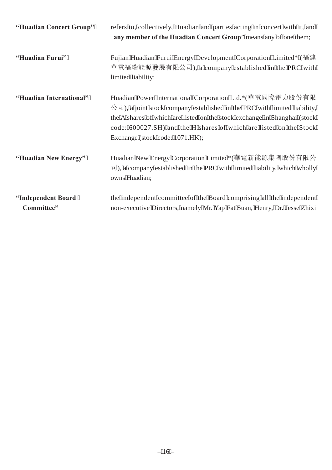| "Huadian Concert Group"          | refers to, collectively, Huadian and parties acting in concert with it, and<br>any member of the Huadian Concert Group" means any of one them;                                                                                                                                                                                               |
|----------------------------------|----------------------------------------------------------------------------------------------------------------------------------------------------------------------------------------------------------------------------------------------------------------------------------------------------------------------------------------------|
| "Huadian Furui"                  | Fujian Huadian Furui Energy Development Corporation Limited* (福建<br>華電福瑞能源發展有限公司), a company established in the PRC with<br>limited liability;                                                                                                                                                                                               |
| "Huadian International"          | Huadian Power International Corporation Ltd.*(華電國際電力股份有限<br>$\Diamond \exists$ ), a joint stock company established in the PRC with limited liability,<br>the A shares of which are listed on the stock exchange in Shanghai (stock<br>code: 600027.SH) and the H shares of which are listed on the Stock<br>Exchange (stock code: 1071.HK); |
| "Huadian New Energy"             | Huadian New Energy Corporation Limited*(華電新能源集團股份有限公<br>$\vec{p}$ ), a company established in the PRC with limited liability, which wholly<br>owns Huadian;                                                                                                                                                                                  |
| "Independent Board<br>Committee" | the independent committee of the Board comprising all the independent<br>non-executive Directors, namely Mr. Yap Fat Suan, Henry, Dr. Jesse Zhixi                                                                                                                                                                                            |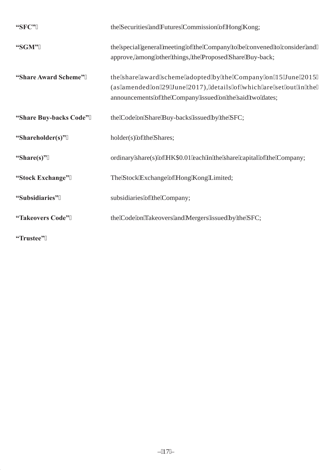| "SFC"                  | the Securities and Futures Commission of Hong Kong;                                                                                                                                              |
|------------------------|--------------------------------------------------------------------------------------------------------------------------------------------------------------------------------------------------|
| "SGM"                  | the special general meeting of the Company to be convened to consider and<br>approve, among other things, the Proposed Share Buy-back;                                                           |
| "Share Award Scheme"   | the share award scheme adopted by the Company on 15 June 2015<br>(as amended on 29 June 2017), details of which are set out in the<br>announcements of the Company issued on the said two dates; |
| "Share Buy-backs Code" | the Code on Share Buy-backs issued by the SFC;                                                                                                                                                   |
| "Shareholder(s)"       | holder(s) of the Shares;                                                                                                                                                                         |
| "Share(s)"             | ordinary share(s) of HK\$0.01 each in the share capital of the Company;                                                                                                                          |
| "Stock Exchange"       | The Stock Exchange of Hong Kong Limited;                                                                                                                                                         |
| "Subsidiaries"         | subsidiaries of the Company;                                                                                                                                                                     |
| "Takeovers Code"       | the Code on Takeovers and Mergers issued by the SFC;                                                                                                                                             |
| $65T_{2222} + 48.2$    |                                                                                                                                                                                                  |

**"Trustee"**